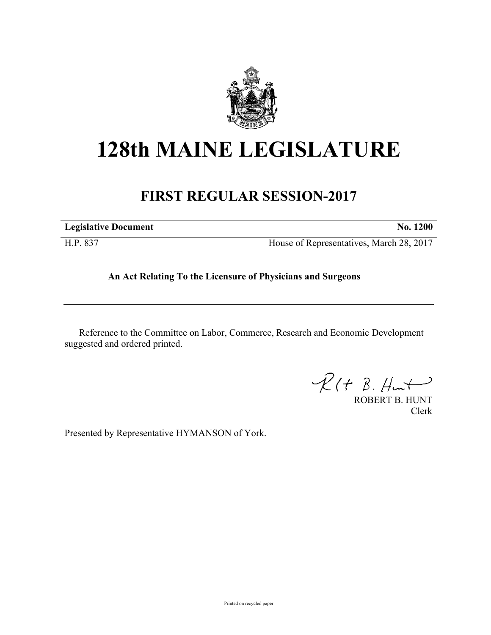

## **128th MAINE LEGISLATURE**

## **FIRST REGULAR SESSION-2017**

**Legislative Document No. 1200**

H.P. 837 House of Representatives, March 28, 2017

## **An Act Relating To the Licensure of Physicians and Surgeons**

Reference to the Committee on Labor, Commerce, Research and Economic Development suggested and ordered printed.

 $R(t B. Hmt)$ 

ROBERT B. HUNT Clerk

Presented by Representative HYMANSON of York.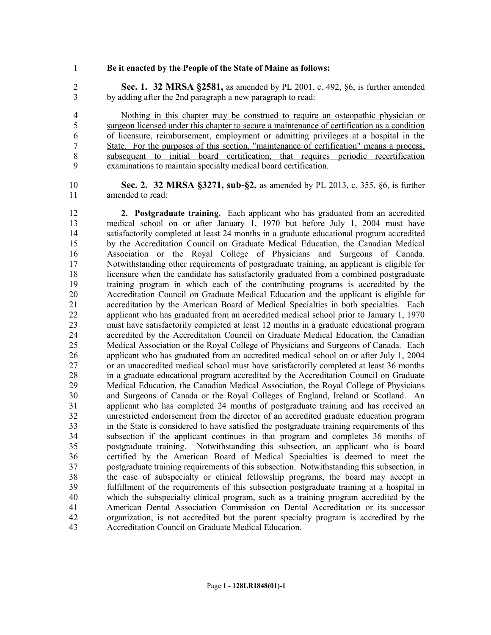## **Be it enacted by the People of the State of Maine as follows:**

 **Sec. 1. 32 MRSA §2581,** as amended by PL 2001, c. 492, §6, is further amended by adding after the 2nd paragraph a new paragraph to read:

 Nothing in this chapter may be construed to require an osteopathic physician or surgeon licensed under this chapter to secure a maintenance of certification as a condition of licensure, reimbursement, employment or admitting privileges at a hospital in the State. For the purposes of this section, "maintenance of certification" means a process, subsequent to initial board certification, that requires periodic recertification examinations to maintain specialty medical board certification.

 **Sec. 2. 32 MRSA §3271, sub-§2,** as amended by PL 2013, c. 355, §6, is further amended to read:

 **2. Postgraduate training.** Each applicant who has graduated from an accredited medical school on or after January 1, 1970 but before July 1, 2004 must have satisfactorily completed at least 24 months in a graduate educational program accredited by the Accreditation Council on Graduate Medical Education, the Canadian Medical Association or the Royal College of Physicians and Surgeons of Canada. Notwithstanding other requirements of postgraduate training, an applicant is eligible for licensure when the candidate has satisfactorily graduated from a combined postgraduate training program in which each of the contributing programs is accredited by the 20 Accreditation Council on Graduate Medical Education and the applicant is eligible for<br>21 accreditation by the American Board of Medical Specialties in both specialties. Each accreditation by the American Board of Medical Specialties in both specialties. Each applicant who has graduated from an accredited medical school prior to January 1, 1970 must have satisfactorily completed at least 12 months in a graduate educational program accredited by the Accreditation Council on Graduate Medical Education, the Canadian Medical Association or the Royal College of Physicians and Surgeons of Canada. Each applicant who has graduated from an accredited medical school on or after July 1, 2004 or an unaccredited medical school must have satisfactorily completed at least 36 months in a graduate educational program accredited by the Accreditation Council on Graduate Medical Education, the Canadian Medical Association, the Royal College of Physicians 30 and Surgeons of Canada or the Royal Colleges of England, Ireland or Scotland. An applicant who has completed 24 months of postgraduate training and has received an applicant who has completed 24 months of postgraduate training and has received an unrestricted endorsement from the director of an accredited graduate education program in the State is considered to have satisfied the postgraduate training requirements of this 34 subsection if the applicant continues in that program and completes 36 months of posteraduate training. Notwithstanding this subsection, an applicant who is board postgraduate training. Notwithstanding this subsection, an applicant who is board certified by the American Board of Medical Specialties is deemed to meet the postgraduate training requirements of this subsection. Notwithstanding this subsection, in the case of subspecialty or clinical fellowship programs, the board may accept in fulfillment of the requirements of this subsection postgraduate training at a hospital in which the subspecialty clinical program, such as a training program accredited by the American Dental Association Commission on Dental Accreditation or its successor organization, is not accredited but the parent specialty program is accredited by the Accreditation Council on Graduate Medical Education.